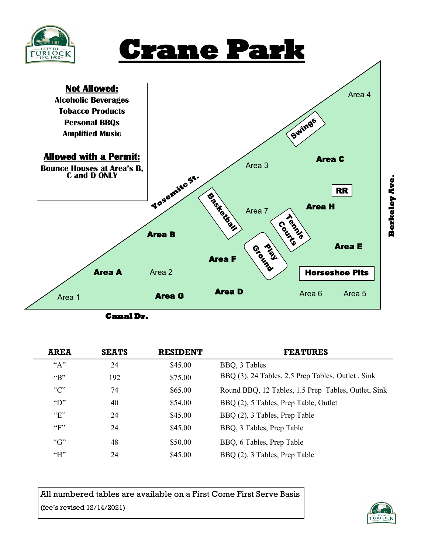

# **Crane Park**



| <b>AREA</b>      | <b>SEATS</b> | <b>RESIDENT</b> | <b>FEATURES</b>                                     |
|------------------|--------------|-----------------|-----------------------------------------------------|
| $A$ "            | 24           | \$45.00         | BBQ, 3 Tables                                       |
| "R"              | 192          | \$75.00         | BBQ (3), 24 Tables, 2.5 Prep Tables, Outlet, Sink   |
| C                | 74           | \$65.00         | Round BBQ, 12 Tables, 1.5 Prep Tables, Outlet, Sink |
| $\mathbf{``D''}$ | 40           | \$54.00         | BBQ (2), 5 Tables, Prep Table, Outlet               |
| "F"              | 24           | \$45.00         | BBQ (2), 3 Tables, Prep Table                       |
| $~^{4}$ F"       | 24           | \$45.00         | BBQ, 3 Tables, Prep Table                           |
| ``G"             | 48           | \$50.00         | BBQ, 6 Tables, Prep Table                           |
| H                | 24           | \$45.00         | BBQ (2), 3 Tables, Prep Table                       |

All numbered tables are available on a First Come First Serve Basis (fee's revised 12/14/2021)